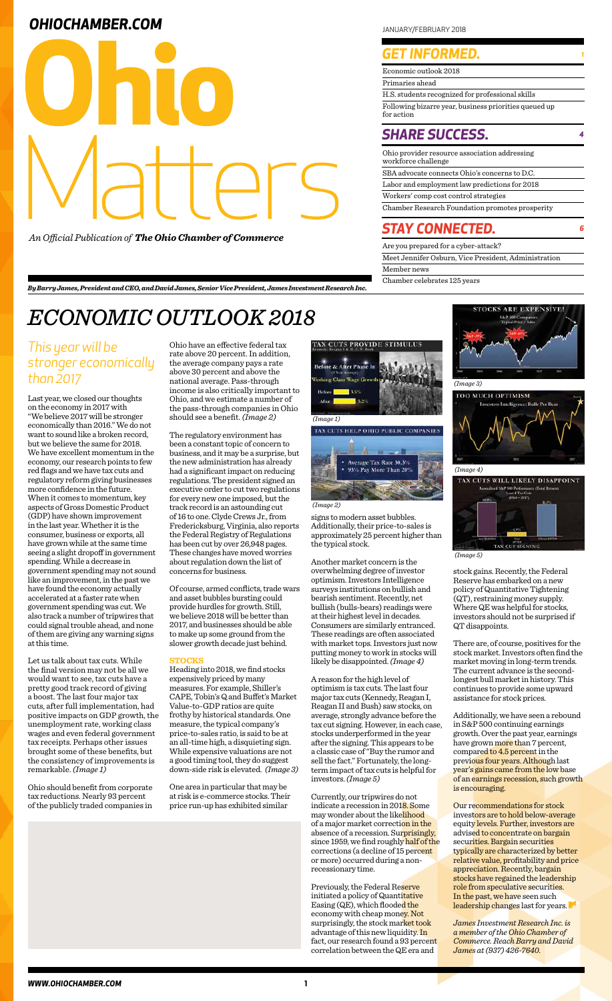| Economic outlook 2018                                               |
|---------------------------------------------------------------------|
| Primaries ahead                                                     |
| H.S. students recognized for professional skills                    |
| Following bizarre year, business priorities queued up<br>for action |

### **SHARE SUCCESS.**

## **OHIOCHAMBER.COM In the set of the set of the set of the set of the set of the set of the set of the set of the set of the set of the set of the set of the set of the set of the set of the set of the set of the set of th**



*An Official Publication of The Ohio Chamber of Commerce*

## *GET INFORMED.*

| Ohio provider resource association addressing<br>workforce challenge |
|----------------------------------------------------------------------|
| SBA advocate connects Ohio's concerns to D.C.                        |
| Labor and employment law predictions for 2018                        |
| Workers' comp cost control strategies                                |
| Chamber Research Foundation promotes prosperity                      |

Are you prepared for a cyber-attack? Meet Jennifer Osburn, Vice President, Administration Member news Chamber celebrates 125 years

### *STAY CONNECTED. <sup>6</sup>*

# *ECONOMIC OUTLOOK 2018*

Last year, we closed our thoughts on the economy in 2017 with "We believe 2017 will be stronger economically than 2016." We do not want to sound like a broken record, but we believe the same for 2018. We have excellent momentum in the economy, our research points to few red flags and we have tax cuts and regulatory reform giving businesses more confidence in the future. When it comes to momentum, key aspects of Gross Domestic Product (GDP) have shown improvement in the last year. Whether it is the consumer, business or exports, all have grown while at the same time seeing a slight dropoff in government spending. While a decrease in government spending may not sound like an improvement, in the past we have found the economy actually accelerated at a faster rate when government spending was cut. We also track a number of tripwires that could signal trouble ahead, and none of them are giving any warning signs at this time.

Let us talk about tax cuts. While the final version may not be all we would want to see, tax cuts have a pretty good track record of giving a boost. The last four major tax cuts, after full implementation, had positive impacts on GDP growth, the unemployment rate, working class wages and even federal government tax receipts. Perhaps other issues brought some of these benefits, but the consistency of improvements is remarkable. *(Image 1)*

Ohio should benefit from corporate tax reductions. Nearly 93 percent of the publicly traded companies in Ohio have an effective federal tax rate above 20 percent. In addition, the average company pays a rate above 30 percent and above the national average. Pass-through income is also critically important to Ohio, and we estimate a number of the pass-through companies in Ohio should see a benefit. *(Image 2)*

The regulatory environment has been a constant topic of concern to business, and it may be a surprise, but the new administration has already had a significant impact on reducing regulations. The president signed an executive order to cut two regulations for every new one imposed, but the track record is an astounding cut of 16 to one. Clyde Crews Jr., from Fredericksburg, Virginia, also reports the Federal Registry of Regulations has been cut by over 26,948 pages. These changes have moved worries about regulation down the list of concerns for business.

> Our recommendations for stock investors are to hold below-average equity levels. Further, investors are advised to concentrate on bargain securities. Bargain securities typically are characterized by better relative value, profitability and price appreciation. Recently, bargain stocks have regained the leadership role from speculative securities. In the past, we have seen such leadership changes last for years.

Of course, armed conflicts, trade wars and asset bubbles bursting could provide hurdles for growth. Still, we believe 2018 will be better than 2017, and businesses should be able to make up some ground from the slower growth decade just behind.

### **STOCKS**

TOO MUCH OPTIMISM *(Image 4)*



Heading into 2018, we find stocks expensively priced by many measures. For example, Shiller's CAPE, Tobin's Q and Buffet's Market Value-to-GDP ratios are quite frothy by historical standards. One measure, the typical company's price-to-sales ratio, is said to be at an all-time high, a disquieting sign. While expensive valuations are not a good timing tool, they do suggest down-side risk is elevated. *(Image 3)*

One area in particular that may be at risk is e-commerce stocks. Their price run-up has exhibited similar



signs to modern asset bubbles. Additionally, their price-to-sales is approximately 25 percent higher than the typical stock.

Another market concern is the overwhelming degree of investor optimism. Investors Intelligence surveys institutions on bullish and bearish sentiment. Recently, net bullish (bulls-bears) readings were at their highest level in decades. Consumers are similarly entranced. These readings are often associated with market tops. Investors just now putting money to work in stocks will likely be disappointed. *(Image 4)*

A reason for the high level of optimism is tax cuts. The last four major tax cuts (Kennedy, Reagan I, Reagan II and Bush) saw stocks, on average, strongly advance before the tax cut signing. However, in each case, stocks underperformed in the year after the signing. This appears to be a classic case of "Buy the rumor and sell the fact." Fortunately, the longterm impact of tax cuts is helpful for investors. *(Image 5)*

Currently, our tripwires do not indicate a recession in 2018. Some may wonder about the likelihood of a major market correction in the absence of a recession. Surprisingly, since 1959, we find roughly half of the corrections (a decline of 15 percent or more) occurred during a nonrecessionary time.

Previously, the Federal Reserve initiated a policy of Quantitative Easing (QE), which flooded the economy with cheap money. Not surprisingly, the stock market took advantage of this new liquidity. In fact, our research found a 93 percent correlation between the QE era and

stock gains. Recently, the Federal Reserve has embarked on a new policy of Quantitative Tightening (QT), restraining money supply. Where QE was helpful for stocks, investors should not be surprised if QT disappoints.

There are, of course, positives for the stock market. Investors often find the market moving in long-term trends. The current advance is the secondlongest bull market in history. This continues to provide some upward

assistance for stock prices.

Additionally, we have seen a rebound in S&P 500 continuing earnings growth. Over the past year, earnings have grown more than 7 percent, compared to 4.5 percent in the previous four years. Although last year's gains came from the low base of an earnings recession, such growth is encouraging.

*James Investment Research Inc. is a member of the Ohio Chamber of Commerce. Reach Barry and David James at (937) 426-7640.*

*By Barry James, President and CEO, and David James, Senior Vice President, James Investment Research Inc.*

### *This year will be stronger economically than 2017*





#### *(Image 2)*



*(Image 5)*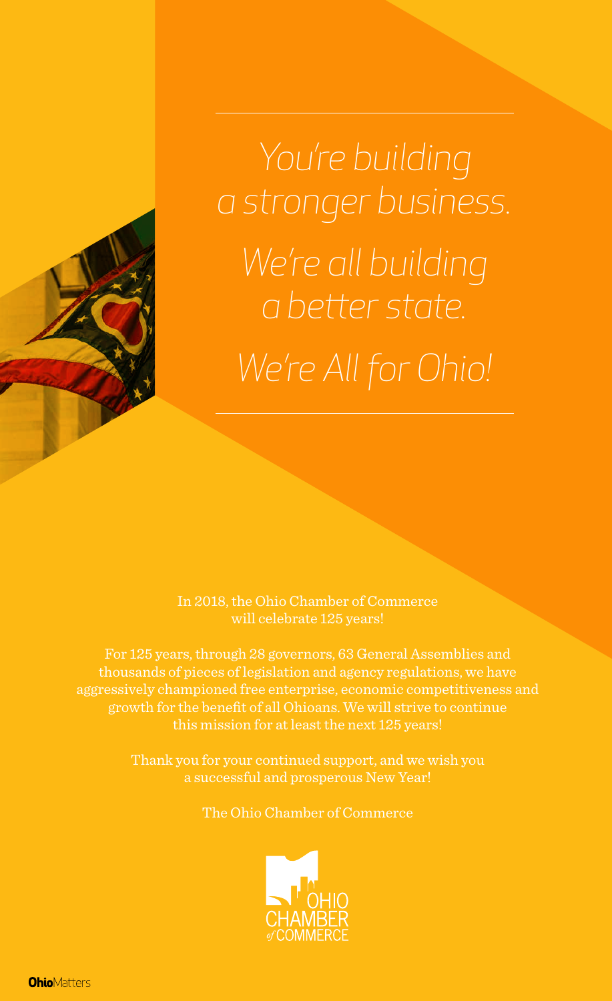*You're building a stronger business. We're all building a better state. We're All for Ohio!*

In 2018, the Ohio Chamber of Commerce will celebrate 125 years!

For 125 years, through 28 governors, 63 General Assemblies and thousands of pieces of legislation and agency regulations, we have aggressively championed free enterprise, economic competitiveness and growth for the benefit of all Ohioans. We will strive to continue this mission for at least the next 125 years!

> Thank you for your continued support, and we wish you a successful and prosperous New Year!

> > The Ohio Chamber of Commerce



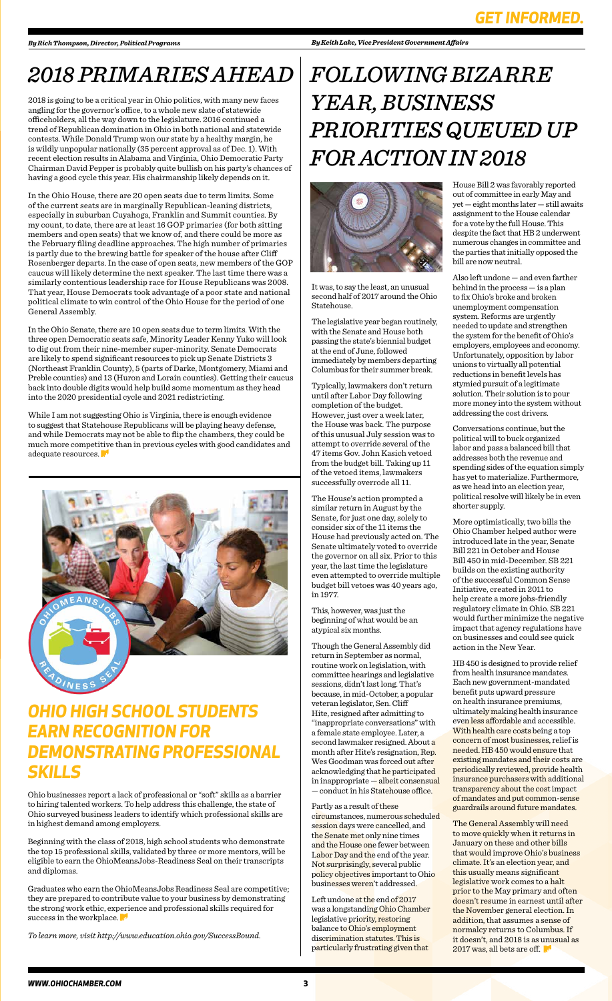# *2018 PRIMARIES AHEAD*

2018 is going to be a critical year in Ohio politics, with many new faces angling for the governor's office, to a whole new slate of statewide officeholders, all the way down to the legislature. 2016 continued a trend of Republican domination in Ohio in both national and statewide contests. While Donald Trump won our state by a healthy margin, he is wildly unpopular nationally (35 percent approval as of Dec. 1). With recent election results in Alabama and Virginia, Ohio Democratic Party Chairman David Pepper is probably quite bullish on his party's chances of having a good cycle this year. His chairmanship likely depends on it.

While I am not suggesting Ohio is Virginia, there is enough evidence to suggest that Statehouse Republicans will be playing heavy defense, and while Democrats may not be able to flip the chambers, they could be much more competitive than in previous cycles with good candidates and adequate resources.



In the Ohio House, there are 20 open seats due to term limits. Some of the current seats are in marginally Republican-leaning districts, especially in suburban Cuyahoga, Franklin and Summit counties. By my count, to date, there are at least 16 GOP primaries (for both sitting members and open seats) that we know of, and there could be more as the February filing deadline approaches. The high number of primaries is partly due to the brewing battle for speaker of the house after Cliff Rosenberger departs. In the case of open seats, new members of the GOP caucus will likely determine the next speaker. The last time there was a similarly contentious leadership race for House Republicans was 2008. That year, House Democrats took advantage of a poor state and national political climate to win control of the Ohio House for the period of one General Assembly.

In the Ohio Senate, there are 10 open seats due to term limits. With the three open Democratic seats safe, Minority Leader Kenny Yuko will look to dig out from their nine-member super-minority. Senate Democrats are likely to spend significant resources to pick up Senate Districts 3 (Northeast Franklin County), 5 (parts of Darke, Montgomery, Miami and Preble counties) and 13 (Huron and Lorain counties). Getting their caucus back into double digits would help build some momentum as they head into the 2020 presidential cycle and 2021 redistricting.

> Left undone at the end of 2017 was a longstanding Ohio Chamber legislative priority, restoring balance to Ohio's employment discrimination statutes. This is particularly frustrating given that

#### *By Keith Lake, Vice President Government Affairs*

It was, to say the least, an unusual second half of 2017 around the Ohio Statehouse.

The legislative year began routinely, with the Senate and House both passing the state's biennial budget at the end of June, followed immediately by members departing Columbus for their summer break.

Typically, lawmakers don't return until after Labor Day following completion of the budget. However, just over a week later, the House was back. The purpose of this unusual July session was to attempt to override several of the 47 items Gov. John Kasich vetoed from the budget bill. Taking up 11 of the vetoed items, lawmakers successfully overrode all 11.

The House's action prompted a similar return in August by the Senate, for just one day, solely to consider six of the 11 items the House had previously acted on. The Senate ultimately voted to override the governor on all six. Prior to this year, the last time the legislature even attempted to override multiple budget bill vetoes was 40 years ago, in 1977.

> The General Assembly will need to move quickly when it returns in January on these and other bills that would improve Ohio's business climate. It's an election year, and this usually means significant legislative work comes to a halt prior to the May primary and often doesn't resume in earnest until after the November general election. In addition, that assumes a sense of normalcy returns to Columbus. If it doesn't, and 2018 is as unusual as 2017 was, all bets are off.

This, however, was just the beginning of what would be an atypical six months.

Though the General Assembly did return in September as normal, routine work on legislation, with committee hearings and legislative sessions, didn't last long. That's because, in mid-October, a popular veteran legislator, Sen. Cliff Hite, resigned after admitting to "inappropriate conversations" with a female state employee. Later, a second lawmaker resigned. About a month after Hite's resignation, Rep. Wes Goodman was forced out after acknowledging that he participated in inappropriate — albeit consensual — conduct in his Statehouse office.

Graduates who earn the OhioMeansJobs Readiness Seal are competitive; they are prepared to contribute value to your business by demonstrating the strong work ethic, experience and professional skills required for success in the workplace.

Partly as a result of these circumstances, numerous scheduled session days were cancelled, and the Senate met only nine times and the House one fewer between Labor Day and the end of the year. Not surprisingly, several public policy objectives important to Ohio businesses weren't addressed.

House Bill 2 was favorably reported out of committee in early May and yet — eight months later — still awaits assignment to the House calendar for a vote by the full House. This despite the fact that HB 2 underwent numerous changes in committee and the parties that initially opposed the bill are now neutral.

Also left undone — and even farther behind in the process — is a plan to fix Ohio's broke and broken unemployment compensation system. Reforms are urgently needed to update and strengthen the system for the benefit of Ohio's employers, employees and economy. Unfortunately, opposition by labor unions to virtually all potential reductions in benefit levels has stymied pursuit of a legitimate solution. Their solution is to pour more money into the system without addressing the cost drivers.

Conversations continue, but the political will to buck organized labor and pass a balanced bill that addresses both the revenue and spending sides of the equation simply has yet to materialize. Furthermore, as we head into an election year, political resolve will likely be in even shorter supply.

More optimistically, two bills the Ohio Chamber helped author were introduced late in the year, Senate Bill 221 in October and House Bill 450 in mid-December. SB 221 builds on the existing authority of the successful Common Sense Initiative, created in 2011 to help create a more jobs-friendly regulatory climate in Ohio. SB 221 would further minimize the negative impact that agency regulations have on businesses and could see quick action in the New Year.

HB 450 is designed to provide relief from health insurance mandates. Each new government-mandated benefit puts upward pressure on health insurance premiums, ultimately making health insurance even less affordable and accessible. With health care costs being a top concern of most businesses, relief is needed. HB 450 would ensure that existing mandates and their costs are periodically reviewed, provide health insurance purchasers with additional transparency about the cost impact of mandates and put common-sense guardrails around future mandates.

# *FOLLOWING BIZARRE YEAR, BUSINESS PRIORITIES QUEUED UP FOR ACTION IN 2018*



## *OHIO HIGH SCHOOL STUDENTS EARN RECOGNITION FOR DEMONSTRATING PROFESSIONAL SKILLS*

Ohio businesses report a lack of professional or "soft" skills as a barrier to hiring talented workers. To help address this challenge, the state of Ohio surveyed business leaders to identify which professional skills are in highest demand among employers.

Beginning with the class of 2018, high school students who demonstrate the top 15 professional skills, validated by three or more mentors, will be eligible to earn the OhioMeansJobs-Readiness Seal on their transcripts and diplomas.

*To learn more, visit http://www.education.ohio.gov/SuccessBound.*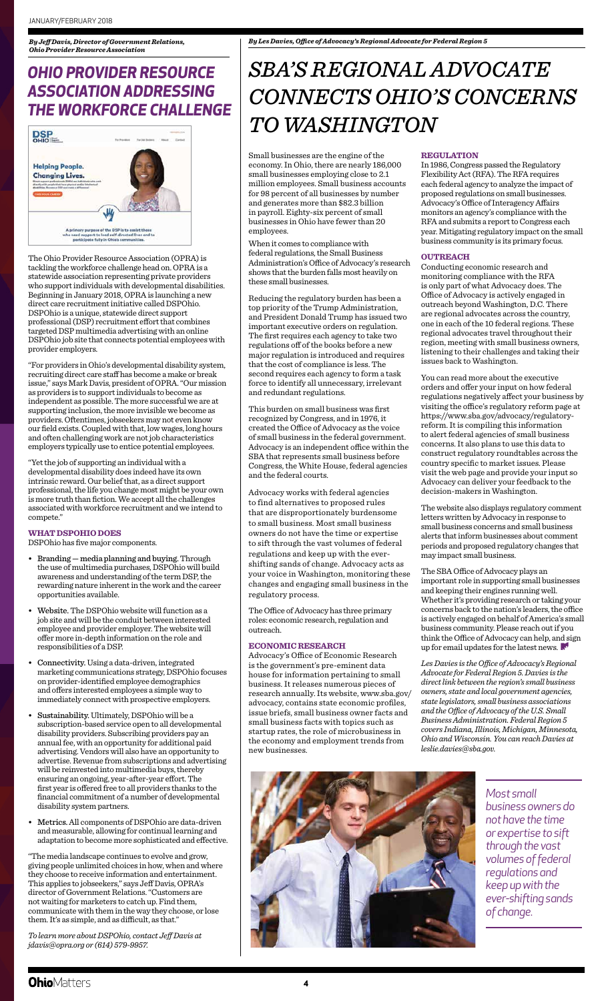The Ohio Provider Resource Association (OPRA) is tackling the workforce challenge head on. OPRA is a statewide association representing private providers who support individuals with developmental disabilities. Beginning in January 2018, OPRA is launching a new direct care recruitment initiative called DSPOhio. DSPOhio is a unique, statewide direct support professional (DSP) recruitment effort that combines targeted DSP multimedia advertising with an online DSPOhio job site that connects potential employees with provider employers.

"For providers in Ohio's developmental disability system, recruiting direct care staff has become a make or break issue," says Mark Davis, president of OPRA. "Our mission as providers is to support individuals to become as independent as possible. The more successful we are at supporting inclusion, the more invisible we become as providers. Oftentimes, jobseekers may not even know our field exists. Coupled with that, low wages, long hours and often challenging work are not job characteristics employers typically use to entice potential employees.

"Yet the job of supporting an individual with a developmental disability does indeed have its own intrinsic reward. Our belief that, as a direct support professional, the life you change most might be your own is more truth than fiction. We accept all the challenges associated with workforce recruitment and we intend to compete."

### **WHAT DSPOHIO DOES**

DSPOhio has five major components.

- Branding media planning and buying. Through the use of multimedia purchases, DSPOhio will build awareness and understanding of the term DSP, the rewarding nature inherent in the work and the career opportunities available.
- Website. The DSPOhio website will function as a job site and will be the conduit between interested employee and provider employer. The website will offer more in-depth information on the role and responsibilities of a DSP.
- Connectivity. Using a data-driven, integrated marketing communications strategy, DSPOhio focuses on provider-identified employee demographics and offers interested employees a simple way to
- immediately connect with prospective employers.
- Sustainability. Ultimately, DSPOhio will be a subscription-based service open to all developmental disability providers. Subscribing providers pay an annual fee, with an opportunity for additional paid advertising. Vendors will also have an opportunity to advertise. Revenue from subscriptions and advertising will be reinvested into multimedia buys, thereby ensuring an ongoing, year-after-year effort. The first year is offered free to all providers thanks to the financial commitment of a number of developmental disability system partners.
- Metrics. All components of DSPOhio are data-driven and measurable, allowing for continual learning and adaptation to become more sophisticated and effective.

"The media landscape continues to evolve and grow, giving people unlimited choices in how, when and where they choose to receive information and entertainment. This applies to jobseekers," says Jeff Davis, OPRA's director of Government Relations. "Customers are not waiting for marketers to catch up. Find them, communicate with them in the way they choose, or lose them. It's as simple, and as difficult, as that."

*To learn more about DSPOhio, contact Jeff Davis at jdavis@opra.org or (614) 579-9957.*



## *OHIO PROVIDER RESOURCE ASSOCIATION ADDRESSING THE WORKFORCE CHALLENGE*



Small businesses are the engine of the economy. In Ohio, there are nearly 186,000 small businesses employing close to 2.1 million employees. Small business accounts for 98 percent of all businesses by number and generates more than \$82.3 billion in payroll. Eighty-six percent of small businesses in Ohio have fewer than 20 employees.

> The SBA Office of Advocacy plays an important role in supporting small businesses and keeping their engines running well. Whether it's providing research or taking your concerns back to the nation's leaders, the office is actively engaged on behalf of America's small business community. Please reach out if you think the Office of Advocacy can help, and sign up for email updates for the latest news.

When it comes to compliance with federal regulations, the Small Business Administration's Office of Advocacy's research shows that the burden falls most heavily on these small businesses.

Reducing the regulatory burden has been a top priority of the Trump Administration, and President Donald Trump has issued two important executive orders on regulation. The first requires each agency to take two regulations off of the books before a new major regulation is introduced and requires that the cost of compliance is less. The second requires each agency to form a task force to identify all unnecessary, irrelevant and redundant regulations.

This burden on small business was first recognized by Congress, and in 1976, it created the Office of Advocacy as the voice of small business in the federal government. Advocacy is an independent office within the SBA that represents small business before Congress, the White House, federal agencies and the federal courts.

Advocacy works with federal agencies to find alternatives to proposed rules that are disproportionately burdensome to small business. Most small business owners do not have the time or expertise to sift through the vast volumes of federal regulations and keep up with the evershifting sands of change. Advocacy acts as your voice in Washington, monitoring these changes and engaging small business in the regulatory process.

The Office of Advocacy has three primary roles: economic research, regulation and outreach.

### **ECONOMIC RESEARCH**

Advocacy's Office of Economic Research is the government's pre-eminent data house for information pertaining to small business. It releases numerous pieces of esearch annually. Its website, www.sba.gov/ advocacy, contains state economic profiles, issue briefs, small business owner facts and small business facts with topics such as startup rates, the role of microbusiness in the economy and employment trends from new businesses.

### **REGULATION**

In 1986, Congress passed the Regulatory Flexibility Act (RFA). The RFA requires each federal agency to analyze the impact of proposed regulations on small businesses. Advocacy's Office of Interagency Affairs monitors an agency's compliance with the RFA and submits a report to Congress each year. Mitigating regulatory impact on the small business community is its primary focus.

### **OUTREACH**

Conducting economic research and monitoring compliance with the RFA is only part of what Advocacy does. The Office of Advocacy is actively engaged in outreach beyond Washington, D.C. There are regional advocates across the country, one in each of the 10 federal regions. These regional advocates travel throughout their region, meeting with small business owners, listening to their challenges and taking their issues back to Washington.

You can read more about the executive orders and offer your input on how federal regulations negatively affect your business by visiting the office's regulatory reform page at https://www.sba.gov/advocacy/regulatoryreform. It is compiling this information to alert federal agencies of small business concerns. It also plans to use this data to construct regulatory roundtables across the country specific to market issues. Please visit the web page and provide your input so Advocacy can deliver your feedback to the decision-makers in Washington.

The website also displays regulatory comment letters written by Advocacy in response to small business concerns and small business alerts that inform businesses about comment periods and proposed regulatory changes that may impact small business.

*Les Davies is the Office of Advocacy's Regional Advocate for Federal Region 5. Davies is the direct link between the region's small business owners, state and local government agencies, state legislators, small business associations and the Office of Advocacy of the U.S. Small Business Administration. Federal Region 5 covers Indiana, Illinois, Michigan, Minnesota, Ohio and Wisconsin. You can reach Davies at leslie.davies@sba.gov.*

*By Jeff Davis, Director of Government Relations, Ohio Provider Resource Association*

# *SBA'S REGIONAL ADVOCATE CONNECTS OHIO'S CONCERNS TO WASHINGTON*

*Most small business owners do not have the time or expertise to sift through the vast volumes of federal regulations and keep up with the ever-shifting sands of change.* 

### **Ohio**Matters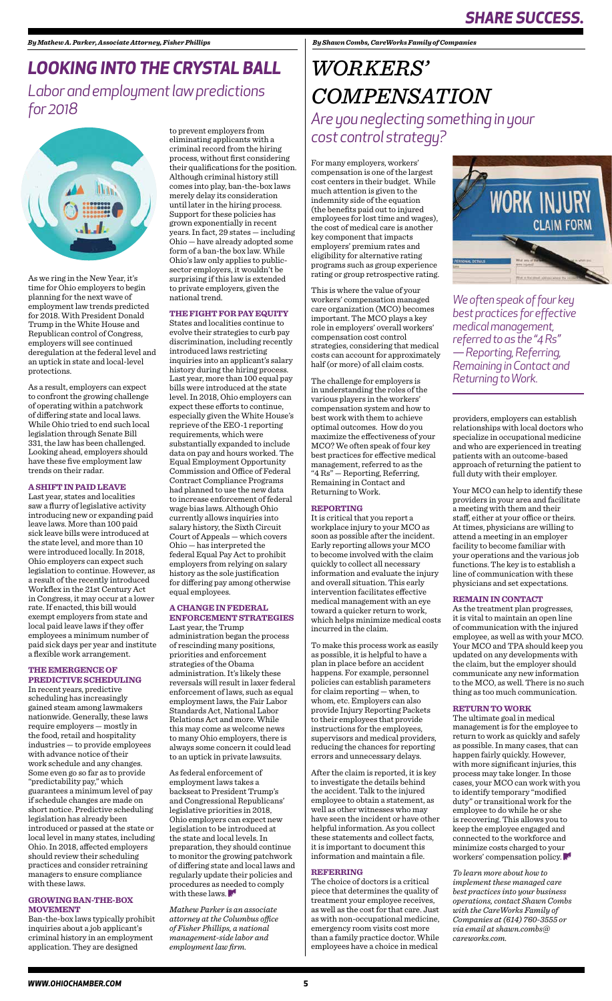As we ring in the New Year, it's time for Ohio employers to begin planning for the next wave of employment law trends predicted for 2018. With President Donald Trump in the White House and Republican control of Congress, employers will see continued deregulation at the federal level and an uptick in state and local-level protections.

As a result, employers can expect to confront the growing challenge of operating within a patchwork of differing state and local laws. While Ohio tried to end such local legislation through Senate Bill 331, the law has been challenged. Looking ahead, employers should have these five employment law trends on their radar.

#### **A SHIFT IN PAID LEAVE**

Last year, states and localities saw a flurry of legislative activity introducing new or expanding paid leave laws. More than 100 paid sick leave bills were introduced at the state level, and more than 10 were introduced locally. In 2018, Ohio employers can expect such legislation to continue. However, as a result of the recently introduced Workflex in the 21st Century Act in Congress, it may occur at a lower rate. If enacted, this bill would exempt employers from state and local paid leave laws if they offer employees a minimum number of paid sick days per year and institute a flexible work arrangement.

### **THE EMERGENCE OF PREDICTIVE SCHEDULING** In recent years, predictive

scheduling has increasingly gained steam among lawmakers nationwide. Generally, these laws require employers — mostly in the food, retail and hospitality industries — to provide employees with advance notice of their work schedule and any changes. Some even go so far as to provide "predictability pay," which guarantees a minimum level of pay if schedule changes are made on short notice. Predictive scheduling legislation has already been introduced or passed at the state or local level in many states, including Ohio. In 2018, affected employers should review their scheduling practices and consider retraining managers to ensure compliance with these laws.

#### **GROWING BAN-THE-BOX MOVEMENT**

Ban-the-box laws typically prohibit inquiries about a job applicant's criminal history in an employment application. They are designed

# *LOOKING INTO THE CRYSTAL BALL*

*Labor and employment law predictions for 2018*



For many employers, workers' compensation is one of the largest cost centers in their budget. While much attention is given to the indemnity side of the equation (the benefits paid out to injured employees for lost time and wages), the cost of medical care is another key component that impacts employers' premium rates and eligibility for alternative rating programs such as group experience rating or group retrospective rating.

This is where the value of your workers' compensation managed care organization (MCO) becomes important. The MCO plays a key role in employers' overall workers' compensation cost control strategies, considering that medical costs can account for approximately half (or more) of all claim costs.

The challenge for employers is in understanding the roles of the various players in the workers' compensation system and how to best work with them to achieve optimal outcomes. How do you maximize the effectiveness of your MCO? We often speak of four key best practices for effective medical management, referred to as the "4 Rs" — Reporting, Referring, Remaining in Contact and Returning to Work.

### **REPORTING**

It is critical that you report a workplace injury to your MCO as soon as possible after the incident. Early reporting allows your MCO to become involved with the claim quickly to collect all necessary information and evaluate the injury and overall situation. This early intervention facilitates effective medical management with an eye toward a quicker return to work, which helps minimize medical costs incurred in the claim.

To make this process work as easily as possible, it is helpful to have a plan in place before an accident happens. For example, personnel policies can establish parameters for claim reporting — when, to whom, etc. Employers can also provide Injury Reporting Packets to their employees that provide instructions for the employees, supervisors and medical providers, reducing the chances for reporting errors and unnecessary delays.



After the claim is reported, it is key to investigate the details behind the accident. Talk to the injured employee to obtain a statement, as well as other witnesses who may have seen the incident or have other helpful information. As you collect these statements and collect facts, it is important to document this information and maintain a file.

As federal enforcement of employment laws takes a backseat to President Trump's and Congressional Republicans' legislative priorities in 2018, Ohio employers can expect new legislation to be introduced at the state and local levels. In preparation, they should continue to monitor the growing patchwork of differing state and local laws and regularly update their policies and procedures as needed to comply with these laws.

#### **REFERRING**

The choice of doctors is a critical piece that determines the quality of treatment your employee receives, as well as the cost for that care. Just as with non-occupational medicine, emergency room visits cost more than a family practice doctor. While employees have a choice in medical

## *WORKERS' COMPENSATION Are you neglecting something in your cost control strategy?*

*By Shawn Combs, CareWorks Family of Companies*

providers, employers can establish relationships with local doctors who specialize in occupational medicine and who are experienced in treating patients with an outcome-based approach of returning the patient to full duty with their employer.

Your MCO can help to identify these providers in your area and facilitate a meeting with them and their staff, either at your office or theirs. At times, physicians are willing to attend a meeting in an employer facility to become familiar with your operations and the various job functions. The key is to establish a line of communication with these physicians and set expectations.

### **REMAIN IN CONTACT**

As the treatment plan progresses, it is vital to maintain an open line of communication with the injured employee, as well as with your MCO. Your MCO and TPA should keep you updated on any developments with the claim, but the employer should communicate any new information to the MCO, as well. There is no such thing as too much communication.

### **RETURN TO WORK**

The ultimate goal in medical management is for the employee to return to work as quickly and safely as possible. In many cases, that can happen fairly quickly. However, with more significant injuries, this process may take longer. In those cases, your MCO can work with you to identify temporary "modified duty" or transitional work for the employee to do while he or she is recovering. This allows you to keep the employee engaged and connected to the workforce and minimize costs charged to your workers' compensation policy.

*To learn more about how to implement these managed care best practices into your business operations, contact Shawn Combs with the CareWorks Family of Companies at (614) 760-3555 or via email at shawn.combs@ careworks.com.*

to prevent employers from eliminating applicants with a criminal record from the hiring process, without first considering their qualifications for the position. Although criminal history still comes into play, ban-the-box laws merely delay its consideration until later in the hiring process. Support for these policies has grown exponentially in recent years. In fact, 29 states — including Ohio — have already adopted some form of a ban-the box law. While Ohio's law only applies to publicsector employers, it wouldn't be surprising if this law is extended to private employers, given the national trend.

#### **THE FIGHT FOR PAY EQUITY**

States and localities continue to evolve their strategies to curb pay discrimination, including recently introduced laws restricting inquiries into an applicant's salary history during the hiring process. Last year, more than 100 equal pay bills were introduced at the state level. In 2018, Ohio employers can expect these efforts to continue, especially given the White House's reprieve of the EEO-1 reporting requirements, which were substantially expanded to include data on pay and hours worked. The Equal Employment Opportunity Commission and Office of Federal Contract Compliance Programs had planned to use the new data to increase enforcement of federal wage bias laws. Although Ohio currently allows inquiries into salary history, the Sixth Circuit Court of Appeals — which covers Ohio — has interpreted the federal Equal Pay Act to prohibit employers from relying on salary history as the sole justification for differing pay among otherwise equal employees.

### **A CHANGE IN FEDERAL ENFORCEMENT STRATEGIES**

Last year, the Trump administration began the process of rescinding many positions, priorities and enforcement strategies of the Obama administration. It's likely these reversals will result in laxer federal enforcement of laws, such as equal employment laws, the Fair Labor Standards Act, National Labor Relations Act and more. While this may come as welcome news to many Ohio employers, there is always some concern it could lead to an uptick in private lawsuits.

*Mathew Parker is an associate attorney at the Columbus office of Fisher Phillips, a national management-side labor and employment law firm.*

*We often speak of four key best practices for effective medical management, referred to as the "4 Rs" — Reporting, Referring, Remaining in Contact and Returning to Work.*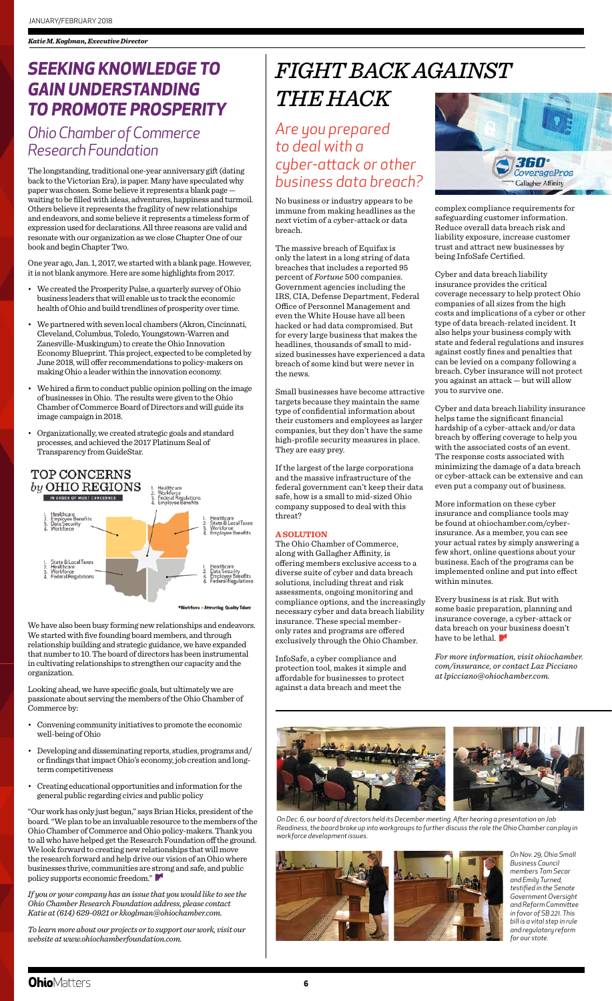The longstanding, traditional one-year anniversary gift (dating back to the Victorian Era), is paper. Many have speculated why paper was chosen. Some believe it represents a blank page waiting to be filled with ideas, adventures, happiness and turmoil. Others believe it represents the fragility of new relationships and endeavors, and some believe it represents a timeless form of expression used for declarations. All three reasons are valid and resonate with our organization as we close Chapter One of our book and begin Chapter Two.

One year ago, Jan. 1, 2017, we started with a blank page. However, it is not blank anymore. Here are some highlights from 2017.

- We created the Prosperity Pulse, a quarterly survey of Ohio business leaders that will enable us to track the economic health of Ohio and build trendlines of prosperity over time.
- We partnered with seven local chambers (Akron, Cincinnati, Cleveland, Columbus, Toledo, Youngstown-Warren and Zanesville-Muskingum) to create the Ohio Innovation Economy Blueprint. This project, expected to be completed by June 2018, will offer recommendations to policy-makers on making Ohio a leader within the innovation economy.
- We hired a firm to conduct public opinion polling on the image of businesses in Ohio. The results were given to the Ohio Chamber of Commerce Board of Directors and will guide its image campaign in 2018.
- Organizationally, we created strategic goals and standard processes, and achieved the 2017 Platinum Seal of Transparency from GuideStar.



We have also been busy forming new relationships and endeavors. We started with five founding board members, and through relationship building and strategic guidance, we have expanded that number to 10. The board of directors has been instrumental in cultivating relationships to strengthen our capacity and the organization.

Looking ahead, we have specific goals, but ultimately we are

passionate about serving the members of the Ohio Chamber of Commerce by:

- Convening community initiatives to promote the economic well-being of Ohio
- Developing and disseminating reports, studies, programs and/ or findings that impact Ohio's economy, job creation and longterm competitiveness
- Creating educational opportunities and information for the general public regarding civics and public policy

"Our work has only just begun," says Brian Hicks, president of the board. "We plan to be an invaluable resource to the members of the Ohio Chamber of Commerce and Ohio policy-makers. Thank you to all who have helped get the Research Foundation off the ground. We look forward to creating new relationships that will move the research forward and help drive our vision of an Ohio where businesses thrive, communities are strong and safe, and public policy supports economic freedom."

*If you or your company has an issue that you would like to see the Ohio Chamber Research Foundation address, please contact Katie at (614) 629-0921 or kkoglman@ohiochamber.com.*

*To learn more about our projects or to support our work, visit our website at www.ohiochamberfoundation.com.*



## *SEEKING KNOWLEDGE TO GAIN UNDERSTANDING TO PROMOTE PROSPERITY*

Every business is at risk. But with some basic preparation, planning and insurance coverage, a cyber-attack or data breach on your business doesn't have to be lethal.

## *Ohio Chamber of Commerce Research Foundation*

*Are you prepared to deal with a cyber-attack or other business data breach?*

No business or industry appears to be immune from making headlines as the next victim of a cyber-attack or data breach.

The massive breach of Equifax is only the latest in a long string of data breaches that includes a reported 95 percent of *Fortune* 500 companies. Government agencies including the IRS, CIA, Defense Department, Federal Office of Personnel Management and even the White House have all been hacked or had data compromised. But for every large business that makes the headlines, thousands of small to midsized businesses have experienced a data breach of some kind but were never in the news.

Small businesses have become attractive targets because they maintain the same type of confidential information about their customers and employees as larger companies, but they don't have the same high-profile security measures in place. They are easy prey.

If the largest of the large corporations and the massive infrastructure of the federal government can't keep their data safe, how is a small to mid-sized Ohio company supposed to deal with this threat?

### **A SOLUTION**

The Ohio Chamber of Commerce, along with Gallagher Affinity, is offering members exclusive access to a diverse suite of cyber and data breach solutions, including threat and risk assessments, ongoing monitoring and compliance options, and the increasingly necessary cyber and data breach liability insurance. These special memberonly rates and programs are offered exclusively through the Ohio Chamber.

InfoSafe, a cyber compliance and protection tool, makes it simple and affordable for businesses to protect against a data breach and meet the



complex compliance requirements for safeguarding customer information. Reduce overall data breach risk and liability exposure, increase customer trust and attract new businesses by being InfoSafe Certified.

Cyber and data breach liability insurance provides the critical coverage necessary to help protect Ohio companies of all sizes from the high costs and implications of a cyber or other type of data breach-related incident. It also helps your business comply with state and federal regulations and insures against costly fines and penalties that can be levied on a company following a breach. Cyber insurance will not protect you against an attack — but will allow you to survive one.

Cyber and data breach liability insurance helps tame the significant financial hardship of a cyber-attack and/or data breach by offering coverage to help you with the associated costs of an event. The response costs associated with minimizing the damage of a data breach or cyber-attack can be extensive and can even put a company out of business.

More information on these cyber insurance and compliance tools may be found at ohiochamber.com/cyberinsurance. As a member, you can see your actual rates by simply answering a few short, online questions about your business. Each of the programs can be implemented online and put into effect within minutes.

*For more information, visit ohiochamber. com/insurance, or contact Laz Picciano at lpicciano@ohiochamber.com.*

# *FIGHT BACK AGAINST THE HACK*

*On Nov. 29, Ohio Small Business Council members Tom Secor and Emily Turned, testified in the Senate Government Oversight and Reform Committee in favor of SB 221. This bill is a vital step in rule and regulatory reform for our state.*

### **Ohio**Matters

*On Dec. 6, our board of directors held its December meeting. After hearing a presentation on Job Readiness, the board broke up into workgroups to further discuss the role the Ohio Chamber can play in workforce development issues.*

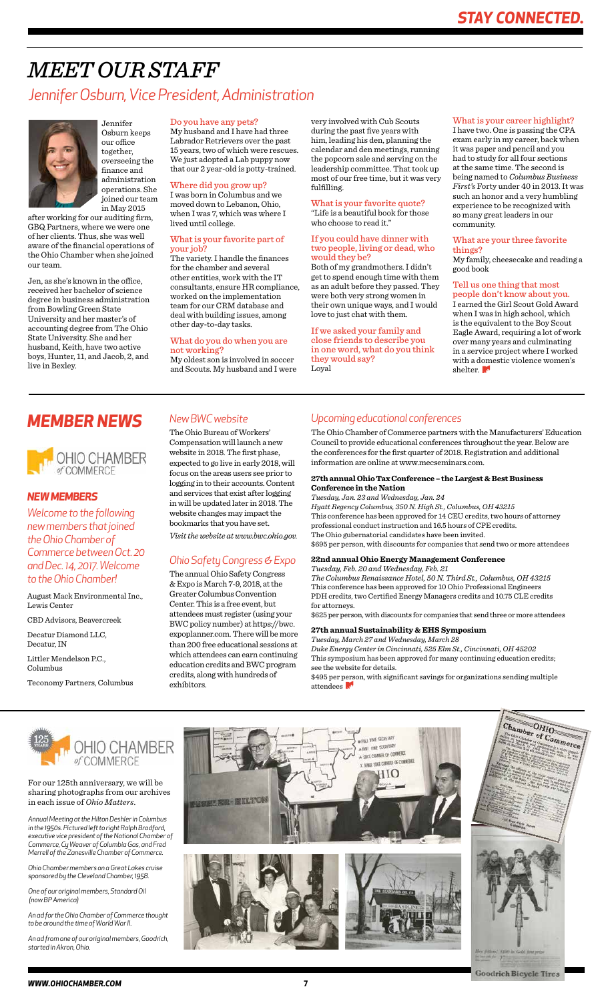Jennifer Osburn keeps our office together, overseeing the finance and administration operations. She joined our team in May 2015

after working for our auditing firm, GBQ Partners, where we were one of her clients. Thus, she was well aware of the financial operations of the Ohio Chamber when she joined our team.

Jen, as she's known in the office, received her bachelor of science degree in business administration from Bowling Green State University and her master's of accounting degree from The Ohio State University. She and her husband, Keith, have two active boys, Hunter, 11, and Jacob, 2, and live in Bexley.

## *MEET OUR STAFF Jennifer Osburn, Vice President, Administration*



### Do you have any pets?

My husband and I have had three Labrador Retrievers over the past 15 years, two of which were rescues. We just adopted a Lab puppy now that our 2 year-old is potty-trained.

### Where did you grow up?

I was born in Columbus and we moved down to Lebanon, Ohio, when I was 7, which was where I lived until college.

### What is your favorite part of your job?

The variety. I handle the finances for the chamber and several other entities, work with the IT consultants, ensure HR compliance, worked on the implementation team for our CRM database and deal with building issues, among other day-to-day tasks.

I earned the Girl Scout Gold Award when I was in high school, which is the equivalent to the Boy Scout Eagle Award, requiring a lot of work over many years and culminating in a service project where I worked with a domestic violence women's shelter.



### What do you do when you are not working?

My oldest son is involved in soccer and Scouts. My husband and I were very involved with Cub Scouts during the past five years with him, leading his den, planning the calendar and den meetings, running the popcorn sale and serving on the leadership committee. That took up most of our free time, but it was very fulfilling.

### What is your favorite quote?

"Life is a beautiful book for those who choose to read it."

### If you could have dinner with two people, living or dead, who would they be?

Both of my grandmothers. I didn't get to spend enough time with them as an adult before they passed. They were both very strong women in their own unique ways, and I would love to just chat with them.

### If we asked your family and close friends to describe you in one word, what do you think they would say? Loyal

### What is your career highlight?

I have two. One is passing the CPA exam early in my career, back when it was paper and pencil and you had to study for all four sections at the same time. The second is being named to *Columbus Business First's* Forty under 40 in 2013. It was such an honor and a very humbling experience to be recognized with so many great leaders in our community.

### What are your three favorite things?

My family, cheesecake and reading a good book

#### Tell us one thing that most people don't know about you.

For our 125th anniversary, we will be sharing photographs from our archives in each issue of *Ohio Matters*.

\$495 per person, with significant savings for organizations sending multiple attendees



*Annual Meeting at the Hilton Deshler in Columbus in the 1950s. Pictured left to right Ralph Bradford, executive vice president of the National Chamber of Commerce, Cy Weaver of Columbia Gas, and Fred Merrell of the Zanesville Chamber of Commerce.*

*Ohio Chamber members on a Great Lakes cruise sponsored by the Cleveland Chamber, 1958.*

*One of our original members, Standard Oil (now BP America)*

*An ad for the Ohio Chamber of Commerce thought to be around the time of World War II.* 

*An ad from one of our original members, Goodrich, started in Akron, Ohio.*









### *NEW MEMBERS*

*Welcome to the following new members that joined the Ohio Chamber of Commerce between Oct. 20 and Dec. 14, 2017. Welcome to the Ohio Chamber!*

August Mack Environmental Inc., Lewis Center

CBD Advisors, Beavercreek

Decatur Diamond LLC, Decatur, IN

Littler Mendelson P.C., Columbus

Teconomy Partners, Columbus

### *New BWC website*

The Ohio Bureau of Workers' Compensation will launch a new website in 2018. The first phase, expected to go live in early 2018, will focus on the areas users see prior to logging in to their accounts. Content and services that exist after logging in will be updated later in 2018. The website changes may impact the bookmarks that you have set.

*Visit the website at www.bwc.ohio.gov.*

### *Ohio Safety Congress & Expo*

The annual Ohio Safety Congress & Expo is March 7-9, 2018, at the Greater Columbus Convention Center. This is a free event, but attendees must register (using your BWC policy number) at https://bwc. expoplanner.com. There will be more than 200 free educational sessions at which attendees can earn continuing education credits and BWC program credits, along with hundreds of exhibitors.

### *MEMBER NEWS Upcoming educational conferences*

The Ohio Chamber of Commerce partners with the Manufacturers' Education Council to provide educational conferences throughout the year. Below are the conferences for the first quarter of 2018. Registration and additional information are online at www.mecseminars.com.

### **27th annual Ohio Tax Conference – the Largest & Best Business Conference in the Nation**

*Tuesday, Jan. 23 and Wednesday, Jan. 24 Hyatt Regency Columbus, 350 N. High St., Columbus, OH 43215* This conference has been approved for 14 CEU credits, two hours of attorney professional conduct instruction and 16.5 hours of CPE credits. The Ohio gubernatorial candidates have been invited. \$695 per person, with discounts for companies that send two or more attendees

### **22nd annual Ohio Energy Management Conference**

*Tuesday, Feb. 20 and Wednesday, Feb. 21*

*The Columbus Renaissance Hotel, 50 N. Third St., Columbus, OH 43215* This conference has been approved for 10 Ohio Professional Engineers PDH credits, two Certified Energy Managers credits and 10.75 CLE credits for attorneys.

\$625 per person, with discounts for companies that send three or more attendees

### **27th annual Sustainability & EHS Symposium**

*Tuesday, March 27 and Wednesday, March 28*

*Duke Energy Center in Cincinnati, 525 Elm St., Cincinnati, OH 45202* This symposium has been approved for many continuing education credits; see the website for details.